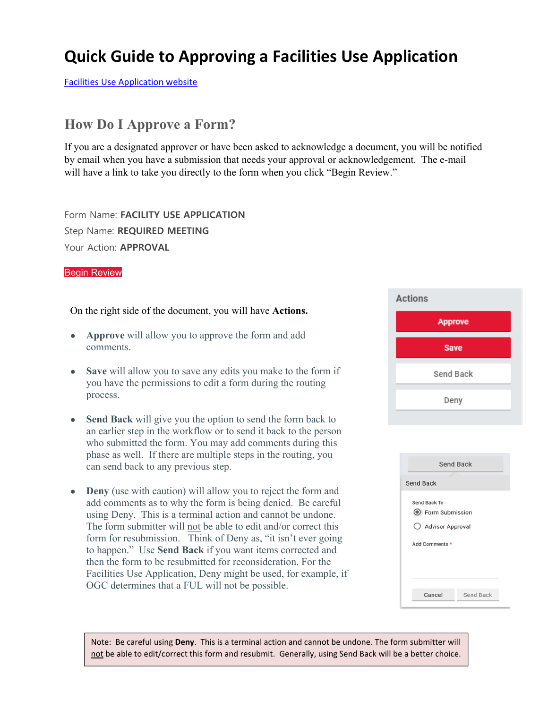## **Quick Guide to Approving a Facilities Use Application**

Facilities Use Application website

## **How Do I Approve a Form?**

If you are a designated approver or have been asked to acknowledge a document, you will be notified by email when you have a submission that needs your approval or acknowledgement. The e-mail will have a link to take you directly to the form when you click "Begin Review."

Form Name: **FACILITY USE APPLICATION** Step Name: **REQUIRED MEETING** Your Action: **APPROVAL**

## Begin Review

On the right side of the document, you will have **Actions.**

- **Approve** will allow you to approve the form and add comments.
- **Save** will allow you to save any edits you make to the form if you have the permissions to edit a form during the routing process.
- **Send Back** will give you the option to send the form back to an earlier step in the workflow or to send it back to the person who submitted the form. You may add comments during this phase as well. If there are multiple steps in the routing, you can send back to any previous step.
- **Deny** (use with caution) will allow you to reject the form and add comments as to why the form is being denied. Be careful using Deny. This is a terminal action and cannot be undone. The form submitter will not be able to edit and/or correct this form for resubmission. Think of Deny as, "it isn't ever going to happen." Use **Send Back** if you want items corrected and then the form to be resubmitted for reconsideration. For the Facilities Use Application, Deny might be used, for example, if OGC determines that a FUL will not be possible.



| <b>Send Back</b>  |  |
|-------------------|--|
| Send Back To      |  |
| ◯ Form Submission |  |
| Advisor Approval  |  |
| Add Comments *    |  |
|                   |  |
|                   |  |

Note: Be careful using **Deny**. This is a terminal action and cannot be undone. The form submitter will not be able to edit/correct this form and resubmit. Generally, using Send Back will be a better choice.